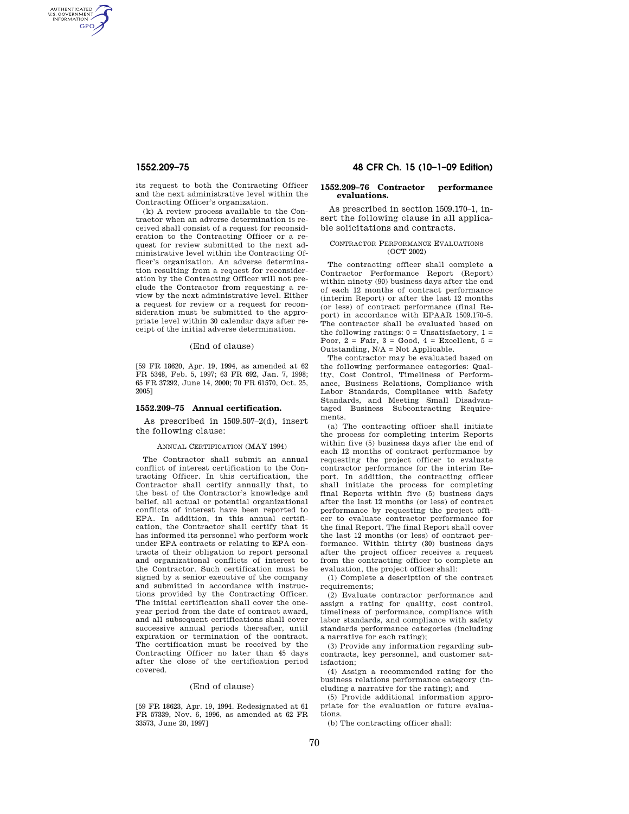AUTHENTICATED<br>U.S. GOVERNMENT<br>INFORMATION **GPO** 

> its request to both the Contracting Officer and the next administrative level within the Contracting Officer's organization.

> (k) A review process available to the Contractor when an adverse determination is received shall consist of a request for reconsideration to the Contracting Officer or a request for review submitted to the next administrative level within the Contracting Officer's organization. An adverse determination resulting from a request for reconsideration by the Contracting Officer will not preclude the Contractor from requesting a review by the next administrative level. Either a request for review or a request for reconsideration must be submitted to the appropriate level within 30 calendar days after receipt of the initial adverse determination.

### (End of clause)

[59 FR 18620, Apr. 19, 1994, as amended at 62 FR 5348, Feb. 5, 1997; 63 FR 692, Jan. 7, 1998; 65 FR 37292, June 14, 2000; 70 FR 61570, Oct. 25, 2005]

# **1552.209–75 Annual certification.**

As prescribed in 1509.507–2(d), insert the following clause:

#### ANNUAL CERTIFICATION (MAY 1994)

The Contractor shall submit an annual conflict of interest certification to the Contracting Officer. In this certification, the Contractor shall certify annually that, to the best of the Contractor's knowledge and belief, all actual or potential organizational conflicts of interest have been reported to EPA. In addition, in this annual certification, the Contractor shall certify that it has informed its personnel who perform work under EPA contracts or relating to EPA contracts of their obligation to report personal and organizational conflicts of interest to the Contractor. Such certification must be signed by a senior executive of the company and submitted in accordance with instructions provided by the Contracting Officer. The initial certification shall cover the oneyear period from the date of contract award, and all subsequent certifications shall cover successive annual periods thereafter, until expiration or termination of the contract. The certification must be received by the Contracting Officer no later than 45 days after the close of the certification period covered.

# (End of clause)

[59 FR 18623, Apr. 19, 1994. Redesignated at 61 FR 57339, Nov. 6, 1996, as amended at 62 FR 33573, June 20, 1997]

# **1552.209–75 48 CFR Ch. 15 (10–1–09 Edition)**

# **1552.209–76 Contractor performance evaluations.**

As prescribed in section 1509.170–1, insert the following clause in all applicable solicitations and contracts.

### CONTRACTOR PERFORMANCE EVALUATIONS (OCT 2002)

The contracting officer shall complete a Contractor Performance Report (Report) within ninety (90) business days after the end of each 12 months of contract performance (interim Report) or after the last 12 months (or less) of contract performance (final Report) in accordance with EPAAR 1509.170–5. The contractor shall be evaluated based on the following ratings:  $0 =$  Unsatisfactory,  $1 =$ Poor,  $2 = \text{Fair}, 3 = \text{Good}, 4 = \text{Excellent}, 5 =$ Outstanding, N/A = Not Applicable.

The contractor may be evaluated based on the following performance categories: Quality, Cost Control, Timeliness of Performance, Business Relations, Compliance with Labor Standards, Compliance with Safety Standards, and Meeting Small Disadvantaged Business Subcontracting Requirements.

(a) The contracting officer shall initiate the process for completing interim Reports within five (5) business days after the end of each 12 months of contract performance by requesting the project officer to evaluate contractor performance for the interim Report. In addition, the contracting officer shall initiate the process for completing final Reports within five (5) business days after the last 12 months (or less) of contract performance by requesting the project officer to evaluate contractor performance for the final Report. The final Report shall cover the last 12 months (or less) of contract performance. Within thirty (30) business days after the project officer receives a request from the contracting officer to complete an evaluation, the project officer shall:

(1) Complete a description of the contract requirements;

(2) Evaluate contractor performance and assign a rating for quality, cost control, timeliness of performance, compliance with labor standards, and compliance with safety standards performance categories (including a narrative for each rating);

(3) Provide any information regarding subcontracts, key personnel, and customer satisfaction;

(4) Assign a recommended rating for the business relations performance category (including a narrative for the rating); and

(5) Provide additional information appropriate for the evaluation or future evaluations.

(b) The contracting officer shall: